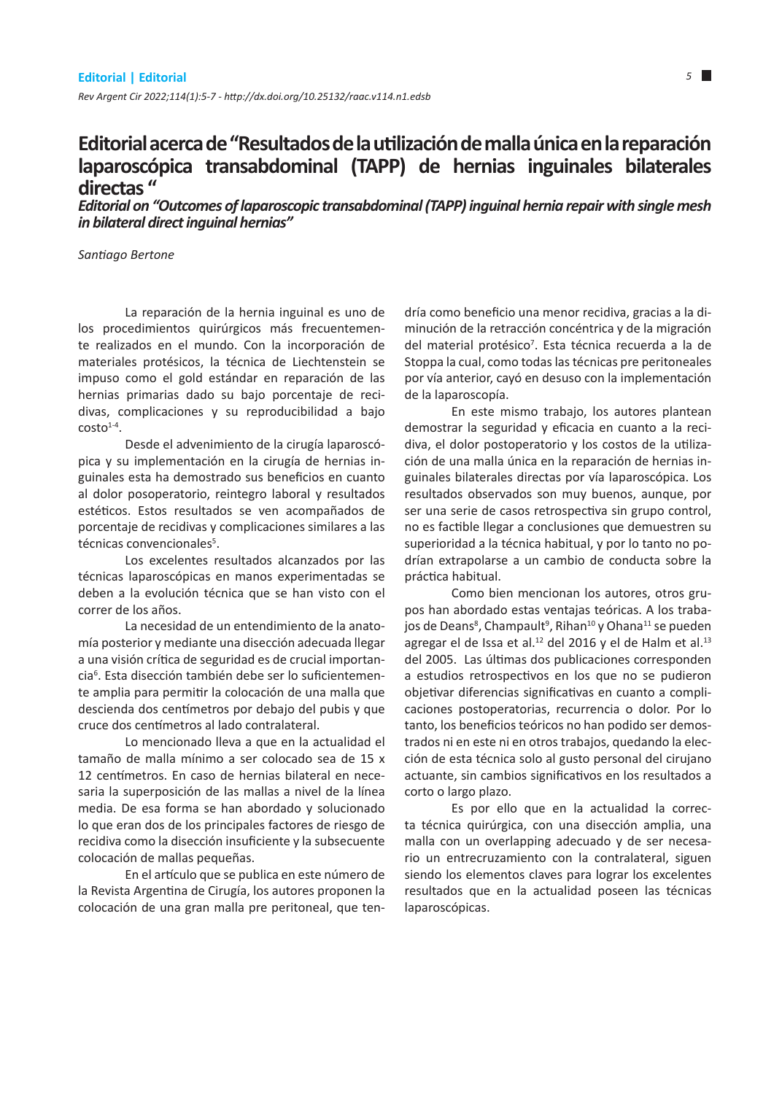## **Editorial acerca de "Resultados de la utilización de malla única en la reparación laparoscópica transabdominal (TAPP) de hernias inguinales bilaterales directas "**

*Editorial on "Outcomes of laparoscopic transabdominal (TAPP) inguinal hernia repair with single mesh in bilateral direct inguinal hernias"*

*Santiago Bertone*

La reparación de la hernia inguinal es uno de los procedimientos quirúrgicos más frecuentemente realizados en el mundo. Con la incorporación de materiales protésicos, la técnica de Liechtenstein se impuso como el gold estándar en reparación de las hernias primarias dado su bajo porcentaje de recidivas, complicaciones y su reproducibilidad a bajo  $costo<sup>1-4</sup>$ .

Desde el advenimiento de la cirugía laparoscópica y su implementación en la cirugía de hernias inguinales esta ha demostrado sus beneficios en cuanto al dolor posoperatorio, reintegro laboral y resultados estéticos. Estos resultados se ven acompañados de porcentaje de recidivas y complicaciones similares a las técnicas convencionales<sup>5</sup>.

Los excelentes resultados alcanzados por las técnicas laparoscópicas en manos experimentadas se deben a la evolución técnica que se han visto con el correr de los años.

La necesidad de un entendimiento de la anatomía posterior y mediante una disección adecuada llegar a una visión crítica de seguridad es de crucial importancia6 . Esta disección también debe ser lo suficientemente amplia para permitir la colocación de una malla que descienda dos centímetros por debajo del pubis y que cruce dos centímetros al lado contralateral.

Lo mencionado lleva a que en la actualidad el tamaño de malla mínimo a ser colocado sea de 15 x 12 centímetros. En caso de hernias bilateral en necesaria la superposición de las mallas a nivel de la línea media. De esa forma se han abordado y solucionado lo que eran dos de los principales factores de riesgo de recidiva como la disección insuficiente y la subsecuente colocación de mallas pequeñas.

En el artículo que se publica en este número de la Revista Argentina de Cirugía, los autores proponen la colocación de una gran malla pre peritoneal, que tendría como beneficio una menor recidiva, gracias a la diminución de la retracción concéntrica y de la migración del material protésico<sup>7</sup>. Esta técnica recuerda a la de Stoppa la cual, como todas las técnicas pre peritoneales por vía anterior, cayó en desuso con la implementación de la laparoscopía.

En este mismo trabajo, los autores plantean demostrar la seguridad y eficacia en cuanto a la recidiva, el dolor postoperatorio y los costos de la utilización de una malla única en la reparación de hernias inguinales bilaterales directas por vía laparoscópica. Los resultados observados son muy buenos, aunque, por ser una serie de casos retrospectiva sin grupo control, no es factible llegar a conclusiones que demuestren su superioridad a la técnica habitual, y por lo tanto no podrían extrapolarse a un cambio de conducta sobre la práctica habitual.

Como bien mencionan los autores, otros grupos han abordado estas ventajas teóricas. A los trabajos de Deans<sup>8</sup>, Champault<sup>9</sup>, Rihan<sup>10</sup> y Ohana<sup>11</sup> se pueden agregar el de Issa et al.<sup>12</sup> del 2016 y el de Halm et al.<sup>13</sup> del 2005. Las últimas dos publicaciones corresponden a estudios retrospectivos en los que no se pudieron objetivar diferencias significativas en cuanto a complicaciones postoperatorias, recurrencia o dolor. Por lo tanto, los beneficios teóricos no han podido ser demostrados ni en este ni en otros trabajos, quedando la elección de esta técnica solo al gusto personal del cirujano actuante, sin cambios significativos en los resultados a corto o largo plazo.

Es por ello que en la actualidad la correcta técnica quirúrgica, con una disección amplia, una malla con un overlapping adecuado y de ser necesario un entrecruzamiento con la contralateral, siguen siendo los elementos claves para lograr los excelentes resultados que en la actualidad poseen las técnicas laparoscópicas.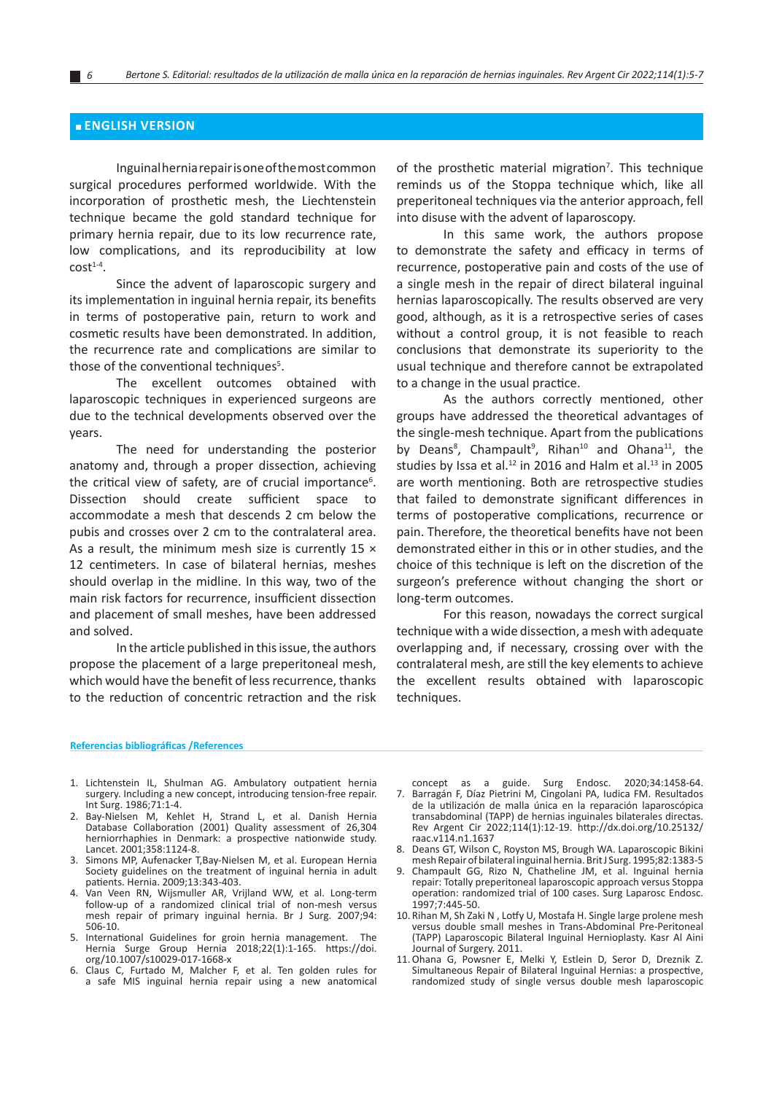## **■ ENGLISH VERSION**

Inguinal hernia repair is one of the most common surgical procedures performed worldwide. With the incorporation of prosthetic mesh, the Liechtenstein technique became the gold standard technique for primary hernia repair, due to its low recurrence rate, low complications, and its reproducibility at low  $c$ ost $1-4$ .

Since the advent of laparoscopic surgery and its implementation in inguinal hernia repair, its benefits in terms of postoperative pain, return to work and cosmetic results have been demonstrated. In addition, the recurrence rate and complications are similar to those of the conventional techniques<sup>5</sup>.

The excellent outcomes obtained with laparoscopic techniques in experienced surgeons are due to the technical developments observed over the years.

The need for understanding the posterior anatomy and, through a proper dissection, achieving the critical view of safety, are of crucial importance<sup>6</sup>. Dissection should create sufficient space to accommodate a mesh that descends 2 cm below the pubis and crosses over 2 cm to the contralateral area. As a result, the minimum mesh size is currently 15  $\times$ 12 centimeters. In case of bilateral hernias, meshes should overlap in the midline. In this way, two of the main risk factors for recurrence, insufficient dissection and placement of small meshes, have been addressed and solved.

In the article published in this issue, the authors propose the placement of a large preperitoneal mesh, which would have the benefit of less recurrence, thanks to the reduction of concentric retraction and the risk

of the prosthetic material migration<sup>7</sup>. This technique reminds us of the Stoppa technique which, like all preperitoneal techniques via the anterior approach, fell into disuse with the advent of laparoscopy.

In this same work, the authors propose to demonstrate the safety and efficacy in terms of recurrence, postoperative pain and costs of the use of a single mesh in the repair of direct bilateral inguinal hernias laparoscopically. The results observed are very good, although, as it is a retrospective series of cases without a control group, it is not feasible to reach conclusions that demonstrate its superiority to the usual technique and therefore cannot be extrapolated to a change in the usual practice.

As the authors correctly mentioned, other groups have addressed the theoretical advantages of the single-mesh technique. Apart from the publications by Deans<sup>8</sup>, Champault<sup>9</sup>, Rihan<sup>10</sup> and Ohana<sup>11</sup>, the studies by Issa et al.<sup>12</sup> in 2016 and Halm et al.<sup>13</sup> in 2005 are worth mentioning. Both are retrospective studies that failed to demonstrate significant differences in terms of postoperative complications, recurrence or pain. Therefore, the theoretical benefits have not been demonstrated either in this or in other studies, and the choice of this technique is left on the discretion of the surgeon's preference without changing the short or long-term outcomes.

For this reason, nowadays the correct surgical technique with a wide dissection, a mesh with adequate overlapping and, if necessary, crossing over with the contralateral mesh, are still the key elements to achieve the excellent results obtained with laparoscopic techniques.

## **Referencias bibliográficas /References**

- 1. Lichtenstein IL, Shulman AG. Ambulatory outpatient hernia surgery. Including a new concept, introducing tension-free repair. Int Surg. 1986;71:1-4.
- 2. Bay-Nielsen M, Kehlet H, Strand L, et al. Danish Hernia Database Collaboration (2001) Quality assessment of 26,304 herniorrhaphies in Denmark: a prospective nationwide study. Lancet. 2001;358:1124-8.
- 3. Simons MP, Aufenacker T,Bay-Nielsen M, et al. European Hernia Society guidelines on the treatment of inguinal hernia in adult patients. Hernia. 2009;13:343-403.
- 4. Van Veen RN, Wijsmuller AR, Vrijland WW, et al. Long-term follow-up of a randomized clinical trial of non-mesh versus mesh repair of primary inguinal hernia. Br J Surg. 2007;94: 506-10.
- 5. International Guidelines for groin hernia management. The Hernia Surge Group Hernia 2018;22(1):1-165. https://doi. org/10.1007/s10029-017-1668-x
- 6. Claus C, Furtado M, Malcher F, et al. Ten golden rules for a safe MIS inguinal hernia repair using a new anatomical
- concept as a guide. Surg Endosc. 2020;34:1458-64. 7. Barragán F, Díaz Pietrini M, Cingolani PA, Iudica FM. Resultados de la utilización de malla única en la reparación laparoscópica transabdominal (TAPP) de hernias inguinales bilaterales directas. Rev Argent Cir 2022;114(1):12-19. http://dx.doi.org/10.25132/ raac.v114.n1.1637
- 8. Deans GT, Wilson C, Royston MS, Brough WA. Laparoscopic Bikini mesh Repair of bilateral inguinal hernia. Brit J Surg. 1995;82:1383-5
- 9. Champault GG, Rizo N, Chatheline JM, et al. Inguinal hernia repair: Totally preperitoneal laparoscopic approach versus Stoppa operation: randomized trial of 100 cases. Surg Laparosc Endosc. 1997;7:445-50.
- 10. Rihan M, Sh Zaki N , Lotfy U, Mostafa H. Single large prolene mesh versus double small meshes in Trans-Abdominal Pre-Peritoneal (TAPP) Laparoscopic Bilateral Inguinal Hernioplasty. Kasr Al Aini Journal of Surgery. 2011.
- 11.Ohana G, Powsner E, Melki Y, Estlein D, Seror D, Dreznik Z. Simultaneous Repair of Bilateral Inguinal Hernias: a prospective, randomized study of single versus double mesh laparoscopic